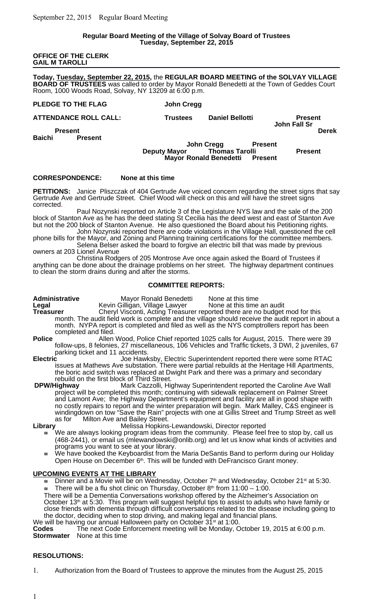#### **Regular Board Meeting of the Village of Solvay Board of Trustees Tuesday, September 22, 2015**

### **OFFICE OF THE CLERK GAIL M TAROLLI**

**Today, Tuesday, September 22, 2015,** the **REGULAR BOARD MEETING of the SOLVAY VILLAGE BOARD OF TRUSTEES** was called to order by Mayor Ronald Benedetti at the Town of Geddes Court Room, 1000 Woods Road, Solvay, NY 13209 at 6:00 p.m.

| PLEDGE TO THE FLAG                                | John Cregg                                                                   |                                       |
|---------------------------------------------------|------------------------------------------------------------------------------|---------------------------------------|
| <b>ATTENDANCE ROLL CALL:</b>                      | <b>Daniel Bellotti</b><br><b>Trustees</b>                                    | <b>Present</b><br><b>John Fall Sr</b> |
| <b>Present</b><br><b>Baichi</b><br><b>Present</b> |                                                                              | <b>Derek</b>                          |
|                                                   | John Cregg<br><b>Present</b><br><b>Thomas Tarolli</b><br><b>Deputy Mayor</b> | <b>Present</b>                        |
|                                                   | <b>Mayor Ronald Benedetti</b><br><b>Present</b>                              |                                       |

### **CORRESPONDENCE: None at this time**

**PETITIONS:** Janice Pliszczak of 404 Gertrude Ave voiced concern regarding the street signs that say Gertrude Ave and Gertrude Street. Chief Wood will check on this and will have the street signs corrected.

Paul Nozynski reported on Article 3 of the Legislature NYS law and the sale of the 200 block of Stanton Ave as he has the deed stating St Cecilia has the deed west and east of Stanton Ave but not the 200 block of Stanton Avenue. He also questioned the Board about his Petitioning rights.

John Nozynski reported there are code violations in the Village Hall, questioned the cell phone bills for the Mayor, and Zoning and Planning training certifications for the committee members. Selena Belser asked the board to forgive an electric bill that was made by previous owners at 203 Lionel Avenue

Christina Rodgers of 205 Montrose Ave once again asked the Board of Trustees if anything can be done about the drainage problems on her street. The highway department continues to clean the storm drains during and after the storms.

### **COMMITTEE REPORTS:**

Administrative **Mayor Ronald Benedetti** None at this time<br>
Legal Communical Herald Communic Center Additional Center Center Center And Audit **Legal Kevin Gilligan, Village Lawyer<br>
<b>Treasurer** Cheryl Visconti, Acting Treasur Cheryl Visconti, Acting Treasurer reported there are no budget mod for this month. The audit field work is complete and the village should receive the audit report in about a month.NYPA report is completed and filed as well as the NYS comptrollers report has been completed and filed.

Police **Allen Wood, Police Chief reported 1025 calls for August, 2015. There were 39** follow-ups, 8 felonies, 27 miscellaneous, 106 Vehicles and Traffic tickets, 3 DWI, 2 juveniles, 67 parking ticket and 11 accidents.

**Electric** Joe Hawksby, Electric Superintendent reported there were some RTAC issues at Mathews Ave substation. There were partial rebuilds at the Heritage Hill Apartments, the boric acid switch was replaced at Dwight Park and there was a primary and secondary

rebuild on the first block of Third Street.<br>DPW/Hiahway Mark Cazzolli, Hig **DPW/Highway** Mark Cazzolli, Highway Superintendent reported the Caroline Ave Wall project will be completed this month; continuing with sidewalk replacement on Palmer Street and Lamont Ave; the Highway Department's equipment and facility are all in good shape with no costly repairs to report and the winter preparation will begin. Mark Malley, C&S engineer is windingdown on tow "Save the Rain" projects with one at Gillis Street and Trump Street as well as for Milton Ave and Bailey Street.<br>Melissa Hopkins

**Library** Melissa Hopkins-Lewandowski, Director reported

- We are always looking program ideas from the community. Please feel free to stop by, call us (468-2441), or email us (mlewandowski@onlib.org) and let us know what kinds of activities and programs you want to see at your library.
- We have booked the Keyboardist from the Maria DeSantis Band to perform during our Holiday Open House on December  $6<sup>th</sup>$ . This will be funded with DeFrancisco Grant money.

### **UPCOMING EVENTS AT THE LIBRARY**

Dinner and a Movie will be on Wednesday, October  $7<sup>th</sup>$  and Wednesday, October 21<sup>st</sup> at 5:30. There will be a flu shot clinic on Thursday, October  $8<sup>th</sup>$  from 11:00 – 1:00.

There will be a Dementia Conversations workshop offered by the Alzheimer's Association on October 13<sup>th</sup> at 5:30. This program will suggest helpful tips to assist to adults who have family or close friends with dementia through difficult conversations related to the disease including going to the doctor, deciding when to stop driving, and making legal and financial plans. We will be having our annual Halloween party on October 31<sup>st</sup> at 1:00.

**Codes** The next Code Enforcement meeting will be Monday, October 19, 2015 at 6:00 p.m. **Stormwater** None at this time

### **RESOLUTIONS:**

1. Authorization from the Board of Trustees to approve the minutes from the August 25, 2015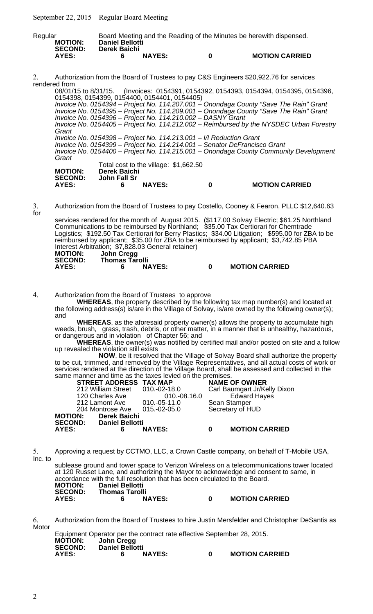September 22, 2015 Regular Board Meeting

| Regular        |                        |               |   | Board Meeting and the Reading of the Minutes be herewith dispensed. |
|----------------|------------------------|---------------|---|---------------------------------------------------------------------|
| <b>MOTION:</b> | <b>Daniel Bellotti</b> |               |   |                                                                     |
| <b>SECOND:</b> | Derek Baichi           |               |   |                                                                     |
| AYES:          |                        | <b>NAYES:</b> | n | <b>MOTION CARRIED</b>                                               |

2. Authorization from the Board of Trustees to pay C&S Engineers \$20,922.76 for services rendered from

08/01/15 to 8/31/15. (Invoices: 0154391, 0154392, 0154393, 0154394, 0154395, 0154396, 0154398, 0154399, 0154400, 0154401, 0154405) Invoice No. 0154394 – Project No. 114.207.001 – Onondaga County "Save The Rain" Grant Invoice No. 0154395 – Project No. 114.209.001 – Onondaga County "Save The Rain" Grant Invoice No. 0154396 – Project No. 114.210.002 – DASNY Grant Invoice No. 0154405 – Project No. 114.212.002 – Reimbursed by the NYSDEC Urban Forestry **Grant** Invoice No. 0154398 – Project No. 114.213.001 – I/I Reduction Grant Invoice No. 0154399 – Project No. 114.214.001 – Senator DeFrancisco Grant Invoice No. 0154400 – Project No. 114.215.001 – Onondaga County Community Development **Grant** Total cost to the village: \$1,662.50  **MOTION: Derek Baichi**

**SECOND: John Fall Sr AYES: 6 NAYES: 0 MOTION CARRIED**

3. Authorization from the Board of Trustees to pay Costello, Cooney & Fearon, PLLC \$12,640.63 for

services rendered for the month of August 2015. (\$117.00 Solvay Electric; \$61.25 Northland Communications to be reimbursed by Northland; \$35.00 Tax Certiorari for Chemtrade Logistics; \$192.50 Tax Certiorari for Berry Plastics; \$34.00 Litigation; \$595.00 for ZBA to be reimbursed by applicant; \$35.00 for ZBA to be reimbursed by applicant; \$3,742.85 PBA Interest Arbitration; \$7,828.03 General retainer)

| <b>MOTION:</b> | John Cregg            |               |                       |
|----------------|-----------------------|---------------|-----------------------|
| <b>SECOND:</b> | <b>Thomas Tarolli</b> |               |                       |
| AYES:          |                       | <b>NAYES:</b> | <b>MOTION CARRIED</b> |

4. Authorization from the Board of Trustees to approve

**WHEREAS**, the property described by the following tax map number(s) and located at the following address(s) is/are in the Village of Solvay, is/are owned by the following owner(s); and

**WHEREAS**, as the aforesaid property owner(s) allows the property to accumulate high weeds, brush, grass, trash, debris, or other matter, in a manner that is unhealthy, hazardous, or dangerous and in violation of Chapter 56; and

**WHEREAS**, the owner(s) was notified by certified mail and/or posted on site and a follow up revealed the violation still exists

**NOW**, be it resolved that the Village of Solvay Board shall authorize the property to be cut, trimmed, and removed by the Village Representatives, and all actual costs of work or services rendered at the direction of the Village Board, shall be assessed and collected in the same manner and time as the taxes levied on the premises.

|                  | <b>STREET ADDRESS TAX MAP</b>   |               | <b>NAME OF OWNER</b> |                              |
|------------------|---------------------------------|---------------|----------------------|------------------------------|
|                  | 212 William Street 010.-02-18.0 |               |                      | Carl Baumgart Jr/Kelly Dixon |
| 120 Charles Ave  |                                 | 010.-08.16.0  |                      | <b>Edward Hayes</b>          |
| 212 Lamont Ave   |                                 | 010.-05-11.0  | Sean Stamper         |                              |
| 204 Montrose Ave |                                 | 015.-02-05.0  | Secretary of HUD     |                              |
| <b>MOTION:</b>   | <b>Derek Baichi</b>             |               |                      |                              |
| <b>SECOND:</b>   | <b>Daniel Bellotti</b>          |               |                      |                              |
| <b>AYES:</b>     | 6                               | <b>NAYES:</b> | 0                    | <b>MOTION CARRIED</b>        |
|                  |                                 |               |                      |                              |

5. Approving a request by CCTMO, LLC, a Crown Castle company, on behalf of T-Mobile USA, Inc. to

sublease ground and tower space to Verizon Wireless on a telecommunications tower located at 120 Russet Lane, and authorizing the Mayor to acknowledge and consent to same, in accordance with the full resolution that has been circulated to the Board.<br>MOTION: Daniel Bellotti **MOTION: Daniel Bellotti SECOND: Thomas Tarolli AYES: 6 NAYES: 0 MOTION CARRIED**

6. Authorization from the Board of Trustees to hire Justin Mersfelder and Christopher DeSantis as Motor Equipment Operator per the contract rate effective September 28, 2015.

|                |                        |               | Equipment Operator per the contract rate effective September 28, 2015. |                       |
|----------------|------------------------|---------------|------------------------------------------------------------------------|-----------------------|
| <b>MOTION:</b> | John Cregg             |               |                                                                        |                       |
| <b>SECOND:</b> | <b>Daniel Bellotti</b> |               |                                                                        |                       |
| AYES:          |                        | <b>NAYES:</b> | n                                                                      | <b>MOTION CARRIED</b> |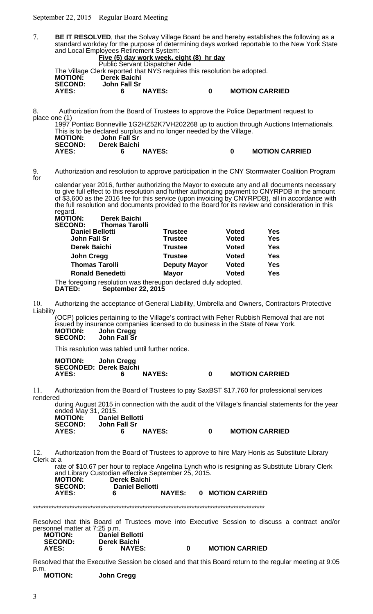September 22, 2015 Regular Board Meeting



| <b>NAYES:</b> |                     | <b>MOTION CARRIED</b> |
|---------------|---------------------|-----------------------|
|               | <b>Derek Baichi</b> |                       |

Resolved that the Executive Session be closed and that this Board return to the regular meeting at 9:05 p.m.<br>**MOTION:** 

**MOTION: John Cregg**